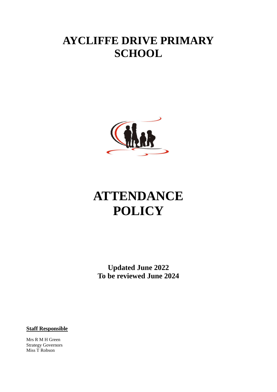# **AYCLIFFE DRIVE PRIMARY SCHOOL**



# **ATTENDANCE POLICY**

**Updated June 2022 To be reviewed June 2024**

**Staff Responsible**

Mrs R M H Green Strategy Governors Miss T Robson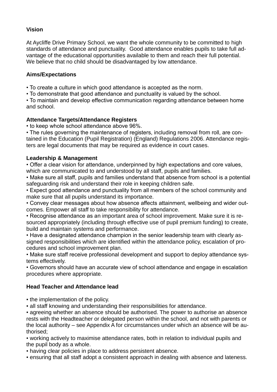#### **Vision**

At Aycliffe Drive Primary School, we want the whole community to be committed to high standards of attendance and punctuality. Good attendance enables pupils to take full advantage of the educational opportunities available to them and reach their full potential. We believe that no child should be disadvantaged by low attendance.

#### **Aims/Expectations**

• To create a culture in which good attendance is accepted as the norm.

• To demonstrate that good attendance and punctuality is valued by the school.

• To maintain and develop effective communication regarding attendance between home and school.

#### **Attendance Targets/Attendance Registers**

• to keep whole school attendance above 96%.

• The rules governing the maintenance of registers, including removal from roll, are contained in the Education (Pupil Registration) (England) Regulations 2006. Attendance registers are legal documents that may be required as evidence in court cases.

#### **Leadership & Management**

• Offer a clear vision for attendance, underpinned by high expectations and core values, which are communicated to and understood by all staff, pupils and families.

• Make sure all staff, pupils and families understand that absence from school is a potential safeguarding risk and understand their role in keeping children safe.

• Expect good attendance and punctuality from all members of the school community and make sure that all pupils understand its importance.

• Convey clear messages about how absence affects attainment, wellbeing and wider outcomes. Empower all staff to take responsibility for attendance.

• Recognise attendance as an important area of school improvement. Make sure it is resourced appropriately (including through effective use of pupil premium funding) to create, build and maintain systems and performance.

• Have a designated attendance champion in the senior leadership team with clearly assigned responsibilities which are identified within the attendance policy, escalation of procedures and school improvement plan.

• Make sure staff receive professional development and support to deploy attendance systems effectively.

• Governors should have an accurate view of school attendance and engage in escalation procedures where appropriate.

#### **Head Teacher and Attendance lead**

• the implementation of the policy.

▪ all staff knowing and understanding their responsibilities for attendance.

▪ agreeing whether an absence should be authorised. The power to authorise an absence rests with the Headteacher or delegated person within the school, and not with parents or the local authority – see Appendix A for circumstances under which an absence will be authorised;

▪ working actively to maximise attendance rates, both in relation to individual pupils and the pupil body as a whole.

▪ having clear policies in place to address persistent absence.

▪ ensuring that all staff adopt a consistent approach in dealing with absence and lateness.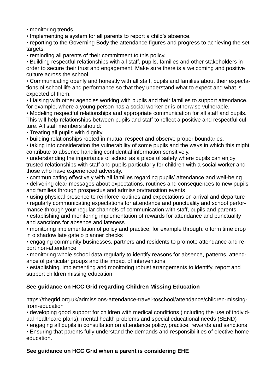▪ monitoring trends.

▪ Implementing a system for all parents to report a child's absence.

▪ reporting to the Governing Body the attendance figures and progress to achieving the set targets.

▪ reminding all parents of their commitment to this policy.

▪ Building respectful relationships with all staff, pupils, families and other stakeholders in order to secure their trust and engagement. Make sure there is a welcoming and positive culture across the school.

▪ Communicating openly and honestly with all staff, pupils and families about their expectations of school life and performance so that they understand what to expect and what is expected of them.

• Liaising with other agencies working with pupils and their families to support attendance, for example, where a young person has a social worker or is otherwise vulnerable.

▪ Modeling respectful relationships and appropriate communication for all staff and pupils. This will help relationships between pupils and staff to reflect a positive and respectful culture. All staff members should:

▪ Treating all pupils with dignity.

▪ building relationships rooted in mutual respect and observe proper boundaries.

• taking into consideration the vulnerability of some pupils and the ways in which this might contribute to absence handling confidential information sensitively.

▪ understanding the importance of school as a place of safety where pupils can enjoy trusted relationships with staff and pupils particularly for children with a social worker and those who have experienced adversity.

▪ communicating effectively with all families regarding pupils' attendance and well-being

▪ delivering clear messages about expectations, routines and consequences to new pupils and families through prospectus and admission/transition events

▪ using physical presence to reinforce routines and expectations on arrival and departure ▪ regularly communicating expectations for attendance and punctuality and school perfor-

mance through your regular channels of communication with staff, pupils and parents • establishing and monitoring implementation of rewards for attendance and punctuality

and sanctions for absence and lateness

• monitoring implementation of policy and practice, for example through: o form time drop in o shadow late gate o planner checks

▪ engaging community businesses, partners and residents to promote attendance and report non-attendance

▪ monitoring whole school data regularly to identify reasons for absence, patterns, attendance of particular groups and the impact of interventions

▪ establishing, implementing and monitoring robust arrangements to identify, report and support children missing education

#### **See guidance on HCC Grid regarding Children Missing Education**

https://thegrid.org.uk/admissions-attendance-travel-toschool/attendance/children-missingfrom-education

▪ developing good support for children with medical conditions (including the use of individual healthcare plans), mental health problems and special educational needs (SEND)

▪ engaging all pupils in consultation on attendance policy, practice, rewards and sanctions

**Ensuring that parents fully understand the demands and responsibilities of elective home** education.

#### **See guidance on HCC Grid when a parent is considering EHE**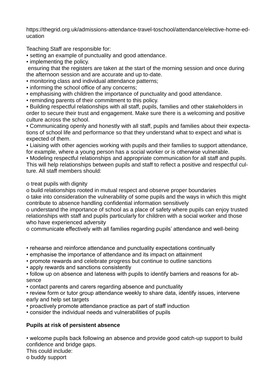[https://thegrid.org.uk/admissions-attendance-travel-toschool/attendance/elective-home-ed](https://thegrid.org.uk/admissions-attendance-travel-toschool/attendance/elective-home-education)[ucation](https://thegrid.org.uk/admissions-attendance-travel-toschool/attendance/elective-home-education)

Teaching Staff are responsible for:

▪ setting an example of punctuality and good attendance.

▪ implementing the policy.

ensuring that the registers are taken at the start of the morning session and once during the afternoon session and are accurate and up to-date.

▪ monitoring class and individual attendance patterns;

- informing the school office of any concerns;
- emphasising with children the importance of punctuality and good attendance.
- reminding parents of their commitment to this policy.

▪ Building respectful relationships with all staff, pupils, families and other stakeholders in order to secure their trust and engagement. Make sure there is a welcoming and positive culture across the school.

▪ Communicating openly and honestly with all staff, pupils and families about their expectations of school life and performance so that they understand what to expect and what is expected of them.

• Liaising with other agencies working with pupils and their families to support attendance, for example, where a young person has a social worker or is otherwise vulnerable.

▪ Modeling respectful relationships and appropriate communication for all staff and pupils. This will help relationships between pupils and staff to reflect a positive and respectful culture. All staff members should:

o treat pupils with dignity

o build relationships rooted in mutual respect and observe proper boundaries

o take into consideration the vulnerability of some pupils and the ways in which this might contribute to absence handling confidential information sensitively

o understand the importance of school as a place of safety where pupils can enjoy trusted relationships with staff and pupils particularly for children with a social worker and those who have experienced adversity

o communicate effectively with all families regarding pupils' attendance and well-being

• rehearse and reinforce attendance and punctuality expectations continually

- emphasise the importance of attendance and its impact on attainment
- promote rewards and celebrate progress but continue to outline sanctions

• apply rewards and sanctions consistently

• follow up on absence and lateness with pupils to identify barriers and reasons for absence

• contact parents and carers regarding absence and punctuality

• review form or tutor group attendance weekly to share data, identify issues, intervene early and help set targets

• proactively promote attendance practice as part of staff induction

• consider the individual needs and vulnerabilities of pupils

# **Pupils at risk of persistent absence**

• welcome pupils back following an absence and provide good catch-up support to build confidence and bridge gaps.

This could include:

o buddy support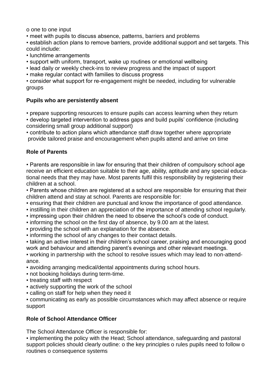o one to one input

• meet with pupils to discuss absence, patterns, barriers and problems

• establish action plans to remove barriers, provide additional support and set targets. This could include:

- lunchtime arrangements
- support with uniform, transport, wake up routines or emotional wellbeing
- lead daily or weekly check-ins to review progress and the impact of support
- make regular contact with families to discuss progress

• consider what support for re-engagement might be needed, including for vulnerable groups

#### **Pupils who are persistently absent**

• prepare supporting resources to ensure pupils can access learning when they return

• develop targeted intervention to address gaps and build pupils' confidence (including considering small group additional support)

• contribute to action plans which attendance staff draw together where appropriate provide tailored praise and encouragement when pupils attend and arrive on time

#### **Role of Parents**

• Parents are responsible in law for ensuring that their children of compulsory school age receive an efficient education suitable to their age, ability, aptitude and any special educational needs that they may have. Most parents fulfil this responsibility by registering their children at a school.

• Parents whose children are registered at a school are responsible for ensuring that their children attend and stay at school. Parents are responsible for:

- ensuring that their children are punctual and know the importance of good attendance.
- instilling in their children an appreciation of the importance of attending school regularly.
- impressing upon their children the need to observe the school's code of conduct.
- informing the school on the first day of absence, by 9.00 am at the latest.
- providing the school with an explanation for the absence.
- informing the school of any changes to their contact details.

• taking an active interest in their children's school career, praising and encouraging good work and behaviour and attending parent's evenings and other relevant meetings.

▪ working in partnership with the school to resolve issues which may lead to non-attendance.

- avoiding arranging medical/dental appointments during school hours.
- not booking holidays during term-time.
- treating staff with respect
- actively supporting the work of the school
- calling on staff for help when they need it

▪ communicating as early as possible circumstances which may affect absence or require support

#### **Role of School Attendance Officer**

The School Attendance Officer is responsible for:

▪ implementing the policy with the Head; School attendance, safeguarding and pastoral support policies should clearly outline: o the key principles o rules pupils need to follow o routines o consequence systems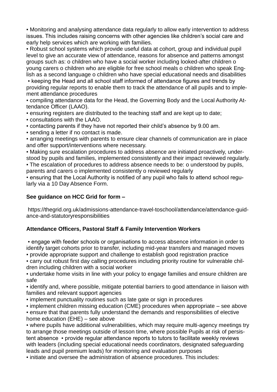▪ Monitoring and analysing attendance data regularly to allow early intervention to address issues. This includes raising concerns with other agencies like children's social care and early help services which are working with families.

• Robust school systems which provide useful data at cohort, group and individual pupil level to give an accurate view of attendance, reasons for absence and patterns amongst groups such as: o children who have a social worker including looked-after children o young carers o children who are eligible for free school meals o children who speak English as a second language o children who have special educational needs and disabilities

• keeping the Head and all school staff informed of attendance figures and trends by providing regular reports to enable them to track the attendance of all pupils and to implement attendance procedures

▪ compiling attendance data for the Head, the Governing Body and the Local Authority Attendance Officer (LAAO).

▪ ensuring registers are distributed to the teaching staff and are kept up to date;

▪ consultations with the LAAO.

▪ contacting parents if they have not reported their child's absence by 9.00 am.

▪ sending a letter if no contact is made.

▪ arranging meetings with parents to ensure clear channels of communication are in place and offer support/interventions where necessary.

▪ Making sure escalation procedures to address absence are initiated proactively, understood by pupils and families, implemented consistently and their impact reviewed regularly.

▪ The escalation of procedures to address absence needs to be: o understood by pupils, parents and carers o implemented consistently o reviewed regularly

• ensuring that the Local Authority is notified of any pupil who fails to attend school regularly via a 10 Day Absence Form.

#### **See guidance on HCC Grid for form –**

https://thegrid.org.uk/admissions-attendance-travel-toschool/attendance/attendance-guidance-and-statutoryresponsibilities

#### **Attendance Officers, Pastoral Staff & Family Intervention Workers**

▪ engage with feeder schools or organisations to access absence information in order to identify target cohorts prior to transfer, including mid-year transfers and managed moves

▪ provide appropriate support and challenge to establish good registration practice

▪ carry out robust first day calling procedures including priority routine for vulnerable children including children with a social worker

▪ undertake home visits in line with your policy to engage families and ensure children are safe

▪ identify and, where possible, mitigate potential barriers to good attendance in liaison with families and relevant support agencies

• implement punctuality routines such as late gate or sign in procedures

 $\bullet$  implement children missing education (CME) procedures when appropriate  $-$  see above

▪ ensure that that parents fully understand the demands and responsibilities of elective home education (EHE) – see above

▪ where pupils have additional vulnerabilities, which may require multi-agency meetings try to arrange those meetings outside of lesson time, where possible Pupils at risk of persistent absence • provide regular attendance reports to tutors to facilitate weekly reviews with leaders (including special educational needs coordinators, designated safeguarding leads and pupil premium leads) for monitoring and evaluation purposes

▪ initiate and oversee the administration of absence procedures. This includes: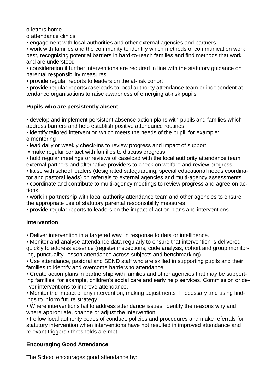o letters home

o attendance clinics

▪ engagement with local authorities and other external agencies and partners

▪ work with families and the community to identify which methods of communication work best, recognising potential barriers in hard-to-reach families and find methods that work and are understood

▪ consideration if further interventions are required in line with the statutory guidance on parental responsibility measures

▪ provide regular reports to leaders on the at-risk cohort

▪ provide regular reports/caseloads to local authority attendance team or independent attendance organisations to raise awareness of emerging at-risk pupils

### **Pupils who are persistently absent**

**.** develop and implement persistent absence action plans with pupils and families which address barriers and help establish positive attendance routines

▪ identify tailored intervention which meets the needs of the pupil, for example: o mentoring

▪ lead daily or weekly check-ins to review progress and impact of support

• make regular contact with families to discuss progress

. hold regular meetings or reviews of caseload with the local authority attendance team, external partners and alternative providers to check on welfare and review progress ▪ liaise with school leaders (designated safeguarding, special educational needs coordinator and pastoral leads) on referrals to external agencies and multi-agency assessments ▪ coordinate and contribute to multi-agency meetings to review progress and agree on ac-

tions ▪ work in partnership with local authority attendance team and other agencies to ensure the appropriate use of statutory parental responsibility measures

▪ provide regular reports to leaders on the impact of action plans and interventions

# **Intervention**

▪ Deliver intervention in a targeted way, in response to data or intelligence.

▪ Monitor and analyse attendance data regularly to ensure that intervention is delivered quickly to address absence (register inspections, code analysis, cohort and group monitoring, punctuality, lesson attendance across subjects and benchmarking).

• Use attendance, pastoral and SEND staff who are skilled in supporting pupils and their families to identify and overcome barriers to attendance.

▪ Create action plans in partnership with families and other agencies that may be supporting families, for example, children's social care and early help services. Commission or deliver interventions to improve attendance.

▪ Monitor the impact of any intervention, making adjustments if necessary and using findings to inform future strategy.

▪ Where interventions fail to address attendance issues, identify the reasons why and, where appropriate, change or adjust the intervention.

▪ Follow local authority codes of conduct, policies and procedures and make referrals for statutory intervention when interventions have not resulted in improved attendance and relevant triggers / thresholds are met.

# **Encouraging Good Attendance**

The School encourages good attendance by: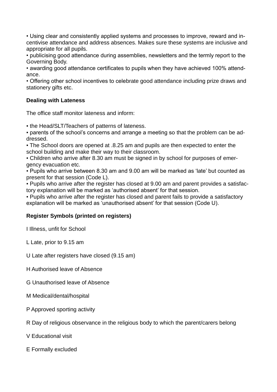• Using clear and consistently applied systems and processes to improve, reward and incentivise attendance and address absences. Makes sure these systems are inclusive and appropriate for all pupils.

• publicising good attendance during assemblies, newsletters and the termly report to the Governing Body.

• awarding good attendance certificates to pupils when they have achieved 100% attendance.

• Offering other school incentives to celebrate good attendance including prize draws and stationery gifts etc.

#### **Dealing with Lateness**

The office staff monitor lateness and inform:

• the Head/SLT/Teachers of patterns of lateness.

▪ parents of the school's concerns and arrange a meeting so that the problem can be addressed.

• The School doors are opened at .8.25 am and pupils are then expected to enter the school building and make their way to their classroom.

▪ Children who arrive after 8.30 am must be signed in by school for purposes of emergency evacuation etc.

▪ Pupils who arrive between 8.30 am and 9.00 am will be marked as 'late' but counted as present for that session (Code L).

▪ Pupils who arrive after the register has closed at 9.00 am and parent provides a satisfactory explanation will be marked as 'authorised absent' for that session.

▪ Pupils who arrive after the register has closed and parent fails to provide a satisfactory explanation will be marked as 'unauthorised absent' for that session (Code U).

#### **Register Symbols (printed on registers)**

I Illness, unfit for School

L Late, prior to 9.15 am

U Late after registers have closed (9.15 am)

- H Authorised leave of Absence
- G Unauthorised leave of Absence
- M Medical/dental/hospital
- P Approved sporting activity

R Day of religious observance in the religious body to which the parent/carers belong

V Educational visit

E Formally excluded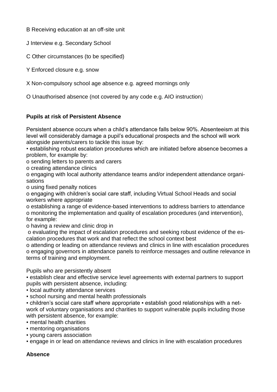B Receiving education at an off-site unit

J Interview e.g. Secondary School

C Other circumstances (to be specified)

Y Enforced closure e.g. snow

X Non-compulsory school age absence e.g. agreed mornings only

O Unauthorised absence (not covered by any code e.g. AIO instruction)

# **Pupils at risk of Persistent Absence**

Persistent absence occurs when a child's attendance falls below 90%. Absenteeism at this level will considerably damage a pupil's educational prospects and the school will work alongside parents/carers to tackle this issue by:

• establishing robust escalation procedures which are initiated before absence becomes a problem, for example by:

o sending letters to parents and carers

o creating attendance clinics

o engaging with local authority attendance teams and/or independent attendance organisations

o using fixed penalty notices

o engaging with children's social care staff, including Virtual School Heads and social workers where appropriate

o establishing a range of evidence-based interventions to address barriers to attendance o monitoring the implementation and quality of escalation procedures (and intervention), for example:

o having a review and clinic drop in

o evaluating the impact of escalation procedures and seeking robust evidence of the escalation procedures that work and that reflect the school context best

o attending or leading on attendance reviews and clinics in line with escalation procedures o engaging governors in attendance panels to reinforce messages and outline relevance in terms of training and employment.

Pupils who are persistently absent

▪ establish clear and effective service level agreements with external partners to support pupils with persistent absence, including:

▪ local authority attendance services

▪ school nursing and mental health professionals

• children's social care staff where appropriate • establish good relationships with a network of voluntary organisations and charities to support vulnerable pupils including those with persistent absence, for example:

• mental health charities

- mentoring organisations
- young carers association
- engage in or lead on attendance reviews and clinics in line with escalation procedures

#### **Absence**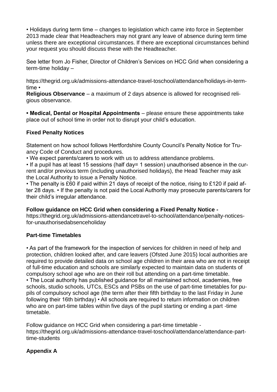• Holidays during term time – changes to legislation which came into force in September 2013 made clear that Headteachers may not grant any leave of absence during term time unless there are exceptional circumstances. If there are exceptional circumstances behind your request you should discuss these with the Headteacher.

See letter from Jo Fisher, Director of Children's Services on HCC Grid when considering a term-time holiday –

https://thegrid.org.uk/admissions-attendance-travel-toschool/attendance/holidays-in-termtime •

**Religious Observance** – a maximum of 2 days absence is allowed for recognised religious observance.

**• Medical, Dental or Hospital Appointments** – please ensure these appointments take place out of school time in order not to disrupt your child's education.

#### **Fixed Penalty Notices**

Statement on how school follows Hertfordshire County Council's Penalty Notice for Truancy Code of Conduct and procedures.

• We expect parents/carers to work with us to address attendance problems.

• If a pupil has at least 15 sessions (half day= 1 session) unauthorised absence in the current and/or previous term (including unauthorised holidays), the Head Teacher may ask the Local Authority to issue a Penalty Notice.

• The penalty is £60 if paid within 21 days of receipt of the notice, rising to £120 if paid after 28 days. • If the penalty is not paid the Local Authority may prosecute parents/carers for their child's irregular attendance.

#### **Follow guidance on HCC Grid when considering a Fixed Penalty Notice -**

https://thegrid.org.uk/admissions-attendancetravel-to-school/attendance/penalty-noticesfor-unauthorisedabsenceholiday

#### **Part-time Timetables**

• As part of the framework for the inspection of services for children in need of help and protection, children looked after, and care leavers (Ofsted June 2015) local authorities are required to provide detailed data on school age children in their area who are not in receipt of full-time education and schools are similarly expected to maintain data on students of compulsory school age who are on their roll but attending on a part-time timetable. • The Local authority has published guidance for all maintained school, academies, free schools, studio schools, UTCs, ESCs and PSBs on the use of part-time timetables for pupils of compulsory school age (the term after their fifth birthday to the last Friday in June following their 16th birthday) • All schools are required to return information on children who are on part-time tables within five days of the pupil starting or ending a part -time timetable.

Follow guidance on HCC Grid when considering a part-time timetable https://thegrid.org.uk/admissions-attendance-travel-toschool/attendance/attendance-parttime-students

# **Appendix A**